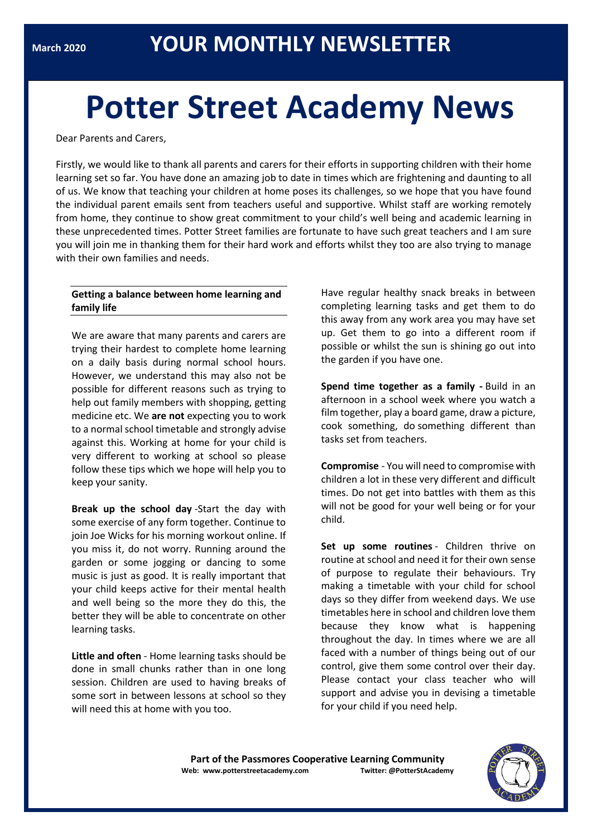# **Potter Street Academy News**

Dear Parents and Carers,

Firstly, we would like to thank all parents and carers for their efforts in supporting children with their home learning set so far. You have done an amazing job to date in times which are frightening and daunting to all of us. We know that teaching your children at home poses its challenges, so we hope that you have found the individual parent emails sent from teachers useful and supportive. Whilst staff are working remotely from home, they continue to show great commitment to your child's well being and academic learning in these unprecedented times. Potter Street families are fortunate to have such great teachers and I am sure you will join me in thanking them for their hard work and efforts whilst they too are also trying to manage with their own families and needs.

## **Getting a balance between home learning and family life**

We are aware that many parents and carers are trying their hardest to complete home learning on a daily basis during normal school hours. However, we understand this may also not be possible for different reasons such as trying to help out family members with shopping, getting medicine etc. We **are not** expecting you to work to a normal school timetable and strongly advise against this. Working at home for your child is very different to working at school so please follow these tips which we hope will help you to keep your sanity.

**Break up the school day** -Start the day with some exercise of any form together. Continue to join Joe Wicks for his morning workout online. If you miss it, do not worry. Running around the garden or some jogging or dancing to some music is just as good. It is really important that your child keeps active for their mental health and well being so the more they do this, the better they will be able to concentrate on other learning tasks.

**Little and often** - Home learning tasks should be done in small chunks rather than in one long session. Children are used to having breaks of some sort in between lessons at school so they will need this at home with you too.

Have regular healthy snack breaks in between completing learning tasks and get them to do this away from any work area you may have set up. Get them to go into a different room if possible or whilst the sun is shining go out into the garden if you have one.

**Spend time together as a family -** Build in an afternoon in a school week where you watch a film together, play a board game, draw a picture, cook something, do something different than tasks set from teachers.

**Compromise** - You will need to compromise with children a lot in these very different and difficult times. Do not get into battles with them as this will not be good for your well being or for your child.

**Set up some routines** - Children thrive on routine at school and need it for their own sense of purpose to regulate their behaviours. Try making a timetable with your child for school days so they differ from weekend days. We use timetables here in school and children love them because they know what is happening throughout the day. In times where we are all faced with a number of things being out of our control, give them some control over their day. Please contact your class teacher who will support and advise you in devising a timetable for your child if you need help.

**Part of the Passmores Cooperative Learning Community Web: www.potterstreetacademy.com Twitter: @PotterStAcademy**

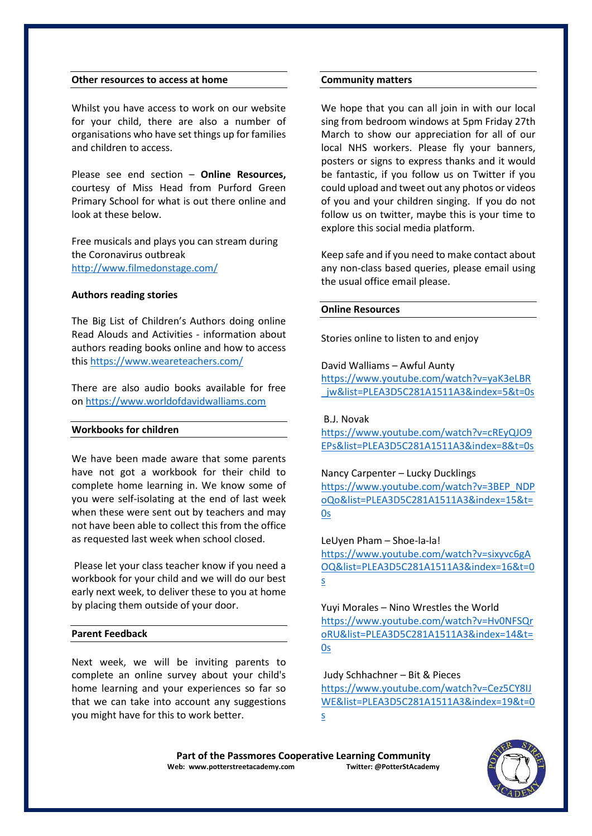#### **Other resources to access at home**

Whilst you have access to work on our website for your child, there are also a number of organisations who have set things up for families and children to access.

Please see end section – **Online Resources,** courtesy of Miss Head from Purford Green Primary School for what is out there online and look at these below.

Free musicals and plays you can stream during the Coronavirus outbreak <http://www.filmedonstage.com/>

#### **Authors reading stories**

The Big List of Children's Authors doing online Read Alouds and Activities - information about authors reading books online and how to access this <https://www.weareteachers.com/>

There are also audio books available for free on [https://www.worldofdavidwalliams.com](https://www.worldofdavidwalliams.com/)

### **Workbooks for children**

We have been made aware that some parents have not got a workbook for their child to complete home learning in. We know some of you were self-isolating at the end of last week when these were sent out by teachers and may not have been able to collect this from the office as requested last week when school closed.

Please let your class teacher know if you need a workbook for your child and we will do our best early next week, to deliver these to you at home by placing them outside of your door.

#### **Parent Feedback**

Next week, we will be inviting parents to complete an online survey about your child's home learning and your experiences so far so that we can take into account any suggestions you might have for this to work better.

#### **Community matters**

We hope that you can all join in with our local sing from bedroom windows at 5pm Friday 27th March to show our appreciation for all of our local NHS workers. Please fly your banners, posters or signs to express thanks and it would be fantastic, if you follow us on Twitter if you could upload and tweet out any photos or videos of you and your children singing. If you do not follow us on twitter, maybe this is your time to explore this social media platform.

Keep safe and if you need to make contact about any non-class based queries, please email using the usual office email please.

#### **Online Resources**

Stories online to listen to and enjoy

David Walliams – Awful Aunty [https://www.youtube.com/watch?v=yaK3eLBR](https://www.youtube.com/watch?v=yaK3eLBR_jw&list=PLEA3D5C281A1511A3&index=5&t=0s) jw&list=PLEA3D5C281A1511A3&index=5&t=0s

B.J. Novak

[https://www.youtube.com/watch?v=cREyQJO9](https://www.youtube.com/watch?v=cREyQJO9EPs&list=PLEA3D5C281A1511A3&index=8&t=0s) [EPs&list=PLEA3D5C281A1511A3&index=8&t=0s](https://www.youtube.com/watch?v=cREyQJO9EPs&list=PLEA3D5C281A1511A3&index=8&t=0s)

Nancy Carpenter – Lucky Ducklings [https://www.youtube.com/watch?v=3BEP\\_NDP](https://www.youtube.com/watch?v=3BEP_NDPoQo&list=PLEA3D5C281A1511A3&index=15&t=0s) [oQo&list=PLEA3D5C281A1511A3&index=15&t=](https://www.youtube.com/watch?v=3BEP_NDPoQo&list=PLEA3D5C281A1511A3&index=15&t=0s) [0s](https://www.youtube.com/watch?v=3BEP_NDPoQo&list=PLEA3D5C281A1511A3&index=15&t=0s)

LeUyen Pham – Shoe-la-la! [https://www.youtube.com/watch?v=sixyvc6gA](https://www.youtube.com/watch?v=sixyvc6gAOQ&list=PLEA3D5C281A1511A3&index=16&t=0s) [OQ&list=PLEA3D5C281A1511A3&index=16&t=0](https://www.youtube.com/watch?v=sixyvc6gAOQ&list=PLEA3D5C281A1511A3&index=16&t=0s) [s](https://www.youtube.com/watch?v=sixyvc6gAOQ&list=PLEA3D5C281A1511A3&index=16&t=0s)

Yuyi Morales – Nino Wrestles the World [https://www.youtube.com/watch?v=Hv0NFSQr](https://www.youtube.com/watch?v=Hv0NFSQroRU&list=PLEA3D5C281A1511A3&index=14&t=0s) [oRU&list=PLEA3D5C281A1511A3&index=14&t=](https://www.youtube.com/watch?v=Hv0NFSQroRU&list=PLEA3D5C281A1511A3&index=14&t=0s) [0s](https://www.youtube.com/watch?v=Hv0NFSQroRU&list=PLEA3D5C281A1511A3&index=14&t=0s)

Judy Schhachner – Bit & Pieces [https://www.youtube.com/watch?v=Cez5CY8IJ](https://www.youtube.com/watch?v=Cez5CY8IJWE&list=PLEA3D5C281A1511A3&index=19&t=0s) [WE&list=PLEA3D5C281A1511A3&index=19&t=0](https://www.youtube.com/watch?v=Cez5CY8IJWE&list=PLEA3D5C281A1511A3&index=19&t=0s) [s](https://www.youtube.com/watch?v=Cez5CY8IJWE&list=PLEA3D5C281A1511A3&index=19&t=0s)

Part of the Passmores Cooperative Learning Community<br>eb: www.potterstreetacademy.com **Twitter:** @PotterStAcademy **Web: www.potterstreetacademy.com** 

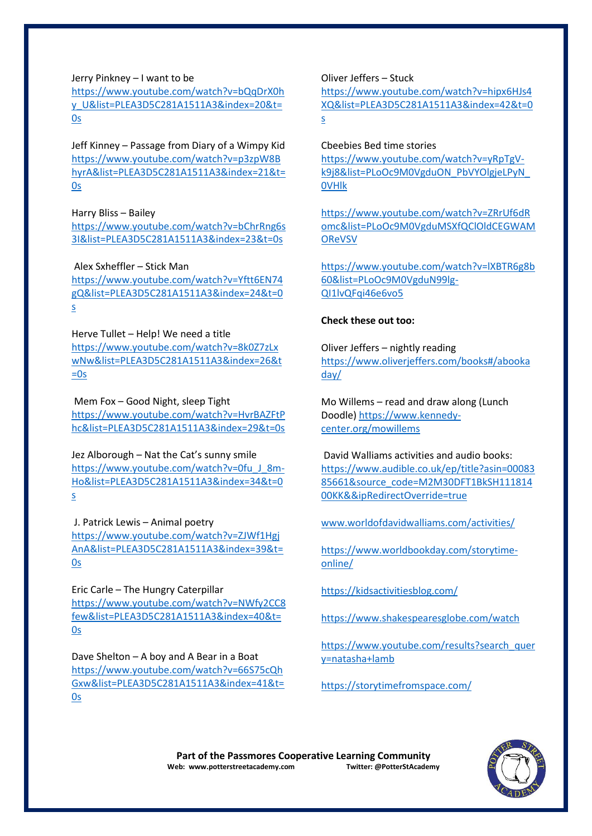Jerry Pinkney – I want to be

[https://www.youtube.com/watch?v=bQqDrX0h](https://www.youtube.com/watch?v=bQqDrX0hy_U&list=PLEA3D5C281A1511A3&index=20&t=0s) [y\\_U&list=PLEA3D5C281A1511A3&index=20&t=](https://www.youtube.com/watch?v=bQqDrX0hy_U&list=PLEA3D5C281A1511A3&index=20&t=0s) [0s](https://www.youtube.com/watch?v=bQqDrX0hy_U&list=PLEA3D5C281A1511A3&index=20&t=0s)

Jeff Kinney – Passage from Diary of a Wimpy Kid [https://www.youtube.com/watch?v=p3zpW8B](https://www.youtube.com/watch?v=p3zpW8BhyrA&list=PLEA3D5C281A1511A3&index=21&t=0s) [hyrA&list=PLEA3D5C281A1511A3&index=21&t=](https://www.youtube.com/watch?v=p3zpW8BhyrA&list=PLEA3D5C281A1511A3&index=21&t=0s) [0s](https://www.youtube.com/watch?v=p3zpW8BhyrA&list=PLEA3D5C281A1511A3&index=21&t=0s)

Harry Bliss – Bailey

[https://www.youtube.com/watch?v=bChrRng6s](https://www.youtube.com/watch?v=bChrRng6s3I&list=PLEA3D5C281A1511A3&index=23&t=0s) [3I&list=PLEA3D5C281A1511A3&index=23&t=0s](https://www.youtube.com/watch?v=bChrRng6s3I&list=PLEA3D5C281A1511A3&index=23&t=0s)

Alex Sxheffler – Stick Man

[https://www.youtube.com/watch?v=Yftt6EN74](https://www.youtube.com/watch?v=Yftt6EN74gQ&list=PLEA3D5C281A1511A3&index=24&t=0s) [gQ&list=PLEA3D5C281A1511A3&index=24&t=0](https://www.youtube.com/watch?v=Yftt6EN74gQ&list=PLEA3D5C281A1511A3&index=24&t=0s) [s](https://www.youtube.com/watch?v=Yftt6EN74gQ&list=PLEA3D5C281A1511A3&index=24&t=0s)

Herve Tullet – Help! We need a title [https://www.youtube.com/watch?v=8k0Z7zLx](https://www.youtube.com/watch?v=8k0Z7zLxwNw&list=PLEA3D5C281A1511A3&index=26&t=0s) [wNw&list=PLEA3D5C281A1511A3&index=26&t](https://www.youtube.com/watch?v=8k0Z7zLxwNw&list=PLEA3D5C281A1511A3&index=26&t=0s)  $=0s$ 

Mem Fox – Good Night, sleep Tight [https://www.youtube.com/watch?v=HvrBAZFtP](https://www.youtube.com/watch?v=HvrBAZFtPhc&list=PLEA3D5C281A1511A3&index=29&t=0s) [hc&list=PLEA3D5C281A1511A3&index=29&t=0s](https://www.youtube.com/watch?v=HvrBAZFtPhc&list=PLEA3D5C281A1511A3&index=29&t=0s)

Jez Alborough – Nat the Cat's sunny smile [https://www.youtube.com/watch?v=0fu\\_J\\_8m-](https://www.youtube.com/watch?v=0fu_J_8m-Ho&list=PLEA3D5C281A1511A3&index=34&t=0s)[Ho&list=PLEA3D5C281A1511A3&index=34&t=0](https://www.youtube.com/watch?v=0fu_J_8m-Ho&list=PLEA3D5C281A1511A3&index=34&t=0s) [s](https://www.youtube.com/watch?v=0fu_J_8m-Ho&list=PLEA3D5C281A1511A3&index=34&t=0s)

J. Patrick Lewis – Animal poetry [https://www.youtube.com/watch?v=ZJWf1Hgj](https://www.youtube.com/watch?v=ZJWf1HgjAnA&list=PLEA3D5C281A1511A3&index=39&t=0s) [AnA&list=PLEA3D5C281A1511A3&index=39&t=](https://www.youtube.com/watch?v=ZJWf1HgjAnA&list=PLEA3D5C281A1511A3&index=39&t=0s) [0s](https://www.youtube.com/watch?v=ZJWf1HgjAnA&list=PLEA3D5C281A1511A3&index=39&t=0s)

Eric Carle – The Hungry Caterpillar [https://www.youtube.com/watch?v=NWfy2CC8](https://www.youtube.com/watch?v=NWfy2CC8few&list=PLEA3D5C281A1511A3&index=40&t=0s) [few&list=PLEA3D5C281A1511A3&index=40&t=](https://www.youtube.com/watch?v=NWfy2CC8few&list=PLEA3D5C281A1511A3&index=40&t=0s) [0s](https://www.youtube.com/watch?v=NWfy2CC8few&list=PLEA3D5C281A1511A3&index=40&t=0s)

Dave Shelton – A boy and A Bear in a Boat [https://www.youtube.com/watch?v=66S75cQh](https://www.youtube.com/watch?v=66S75cQhGxw&list=PLEA3D5C281A1511A3&index=41&t=0s) [Gxw&list=PLEA3D5C281A1511A3&index=41&t=](https://www.youtube.com/watch?v=66S75cQhGxw&list=PLEA3D5C281A1511A3&index=41&t=0s) [0s](https://www.youtube.com/watch?v=66S75cQhGxw&list=PLEA3D5C281A1511A3&index=41&t=0s)

Oliver Jeffers – Stuck

[https://www.youtube.com/watch?v=hipx6HJs4](https://www.youtube.com/watch?v=hipx6HJs4XQ&list=PLEA3D5C281A1511A3&index=42&t=0s) [XQ&list=PLEA3D5C281A1511A3&index=42&t=0](https://www.youtube.com/watch?v=hipx6HJs4XQ&list=PLEA3D5C281A1511A3&index=42&t=0s) [s](https://www.youtube.com/watch?v=hipx6HJs4XQ&list=PLEA3D5C281A1511A3&index=42&t=0s)

## Cbeebies Bed time stories

[https://www.youtube.com/watch?v=yRpTgV](https://www.youtube.com/watch?v=yRpTgV-k9j8&list=PLoOc9M0VgduON_PbVYOlgjeLPyN_0VHlk)[k9j8&list=PLoOc9M0VgduON\\_PbVYOlgjeLPyN\\_](https://www.youtube.com/watch?v=yRpTgV-k9j8&list=PLoOc9M0VgduON_PbVYOlgjeLPyN_0VHlk) [0VHlk](https://www.youtube.com/watch?v=yRpTgV-k9j8&list=PLoOc9M0VgduON_PbVYOlgjeLPyN_0VHlk)

[https://www.youtube.com/watch?v=ZRrUf6dR](https://www.youtube.com/watch?v=ZRrUf6dRomc&list=PLoOc9M0VgduMSXfQClOldCEGWAMOReVSV) [omc&list=PLoOc9M0VgduMSXfQClOldCEGWAM](https://www.youtube.com/watch?v=ZRrUf6dRomc&list=PLoOc9M0VgduMSXfQClOldCEGWAMOReVSV) **[OReVSV](https://www.youtube.com/watch?v=ZRrUf6dRomc&list=PLoOc9M0VgduMSXfQClOldCEGWAMOReVSV)** 

[https://www.youtube.com/watch?v=lXBTR6g8b](https://www.youtube.com/watch?v=lXBTR6g8b60&list=PLoOc9M0VgduN99lg-QI1lvQFqi46e6vo5) [60&list=PLoOc9M0VgduN99lg-](https://www.youtube.com/watch?v=lXBTR6g8b60&list=PLoOc9M0VgduN99lg-QI1lvQFqi46e6vo5)[QI1lvQFqi46e6vo5](https://www.youtube.com/watch?v=lXBTR6g8b60&list=PLoOc9M0VgduN99lg-QI1lvQFqi46e6vo5)

# **Check these out too:**

Oliver Jeffers – nightly reading [https://www.oliverjeffers.com/books#/abooka](https://www.oliverjeffers.com/books#/abookaday/) [day/](https://www.oliverjeffers.com/books#/abookaday/)

Mo Willems – read and draw along (Lunch Doodle) [https://www.kennedy](https://www.kennedy-center.org/mowillems)[center.org/mowillems](https://www.kennedy-center.org/mowillems)

David Walliams activities and audio books: [https://www.audible.co.uk/ep/title?asin=00083](https://www.audible.co.uk/ep/title?asin=0008385661&source_code=M2M30DFT1BkSH11181400KK&&ipRedirectOverride=true) [85661&source\\_code=M2M30DFT1BkSH111814](https://www.audible.co.uk/ep/title?asin=0008385661&source_code=M2M30DFT1BkSH11181400KK&&ipRedirectOverride=true) [00KK&&ipRedirectOverride=true](https://www.audible.co.uk/ep/title?asin=0008385661&source_code=M2M30DFT1BkSH11181400KK&&ipRedirectOverride=true)

[www.worldofdavidwalliams.com/activities/](http://www.worldofdavidwalliams.com/activities/)

[https://www.worldbookday.com/storytime](https://www.worldbookday.com/storytime-online/)[online/](https://www.worldbookday.com/storytime-online/)

<https://kidsactivitiesblog.com/>

<https://www.shakespearesglobe.com/watch>

[https://www.youtube.com/results?search\\_quer](https://www.youtube.com/results?search_query=natasha+lamb) [y=natasha+lamb](https://www.youtube.com/results?search_query=natasha+lamb)

<https://storytimefromspace.com/>

Part of the Passmores Cooperative Learning Community<br>eb: www.potterstreetacademy.com **Twitter:** @PotterStAcademy **Web: www.potterstreetacademy.com**